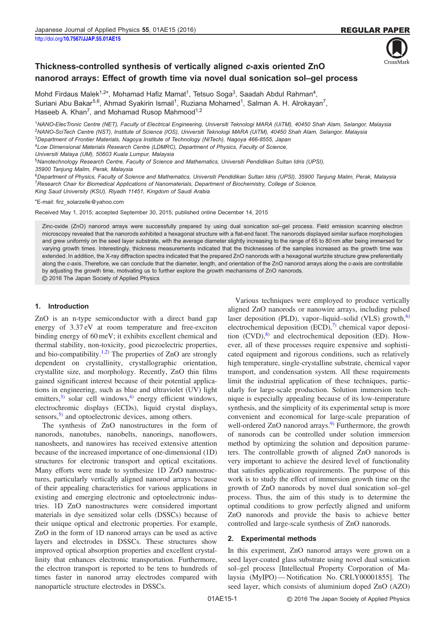

# Thickness-controlled synthesis of vertically aligned c-axis oriented ZnO nanorod arrays: Effect of growth time via novel dual sonication sol–gel process

Mohd Firdaus Malek<sup>1,2\*</sup>, Mohamad Hafiz Mamat<sup>1</sup>, Tetsuo Soga<sup>3</sup>, Saadah Abdul Rahman<sup>4</sup>, Suriani Abu Bakar<sup>5,6</sup>, Ahmad Syakirin Ismail<sup>1</sup>, Ruziana Mohamed<sup>1</sup>, Salman A. H. Alrokayan<sup>7</sup>, Haseeb A. Khan<sup>7</sup>, and Mohamad Rusop Mahmood<sup>1,2</sup>

<sup>1</sup>NANO-ElecTronic Centre (NET), Faculty of Electrical Engineering, Universiti Teknologi MARA (UiTM), 40450 Shah Alam, Selangor, Malaysia <sup>2</sup>NANO-SciTech Centre (NST), Institute of Science (IOS), Universiti Teknologi MARA (UiTM), 40450 Shah Alam, Selangor, Malaysia <sup>3</sup>Department of Frontier Materials, Nagoya Institute of Technology (NITech), Nagoya 466-8555, Japan

<sup>4</sup>Low Dimensional Materials Research Centre (LDMRC), Department of Physics, Faculty of Science,

Universiti Malaya (UM), 50603 Kuala Lumpur, Malaysia

<sup>5</sup>Nanotechnology Research Centre, Faculty of Science and Mathematics, Universiti Pendidikan Sultan Idris (UPSI),

35900 Tanjung Malim, Perak, Malaysia

<sup>6</sup>Department of Physics, Faculty of Science and Mathematics, Universiti Pendidikan Sultan Idris (UPSI), 35900 Tanjung Malim, Perak, Malaysia <sup>7</sup>Research Chair for Biomedical Applications of Nanomaterials, Department of Biochemistry, College of Science,

King Saud University (KSU), Riyadh 11451, Kingdom of Saudi Arabia

\*E-mail: firz\_solarzelle@yahoo.com

Received May 1, 2015; accepted September 30, 2015; published online December 14, 2015

Zinc-oxide (ZnO) nanorod arrays were successfully prepared by using dual sonication sol–gel process. Field emission scanning electron microscopy revealed that the nanorods exhibited a hexagonal structure with a flat-end facet. The nanorods displayed similar surface morphologies and grew uniformly on the seed layer substrate, with the average diameter slightly increasing to the range of 65 to 80 nm after being immersed for varying growth times. Interestingly, thickness measurements indicated that the thicknesses of the samples increased as the growth time was extended. In addition, the X-ray diffraction spectra indicated that the prepared ZnO nanorods with a hexagonal wurtzite structure grew preferentially along the c-axis. Therefore, we can conclude that the diameter, length, and orientation of the ZnO nanorod arrays along the c-axis are controllable by adjusting the growth time, motivating us to further explore the growth mechanisms of ZnO nanorods.

© 2016 The Japan Society of Applied Physics

## 1. Introduction

ZnO is an n-type semiconductor with a direct band gap energy of 3.37 eV at room temperature and free-exciton binding energy of 60 meV; it exhibits excellent chemical and thermal stability, non-toxicity, good piezoelectric properties, and bio-compatibility.<sup>[1,2](#page-5-0))</sup> The properties of ZnO are strongly dependent on crystallinity, crystallographic orientation, crystallite size, and morphology. Recently, ZnO thin films gained significant interest because of their potential applications in engineering, such as blue and ultraviolet (UV) light emitters,  $3)$  $3)$  solar cell windows,  $4)$  energy efficient windows, electrochromic displays (ECDs), liquid crystal displays, sensors, $5$ ) and optoelectronic devices, among others.

The synthesis of ZnO nanostructures in the form of nanorods, nanotubes, nanobelts, nanorings, nanoflowers, nanosheets, and nanowires has received extensive attention because of the increased importance of one-dimensional (1D) structures for electronic transport and optical excitations. Many efforts were made to synthesize 1D ZnO nanostructures, particularly vertically aligned nanorod arrays because of their appealing characteristics for various applications in existing and emerging electronic and optoelectronic industries. 1D ZnO nanostructures were considered important materials in dye sensitized solar cells (DSSCs) because of their unique optical and electronic properties. For example, ZnO in the form of 1D nanorod arrays can be used as active layers and electrodes in DSSCs. These structures show improved optical absorption properties and excellent crystallinity that enhances electronic transportation. Furthermore, the electron transport is reported to be tens to hundreds of times faster in nanorod array electrodes compared with nanoparticle structure electrodes in DSSCs.

Various techniques were employed to produce vertically aligned ZnO nanorods or nanowire arrays, including pulsed laser deposition (PLD), vapor–liquid–solid (VLS) growth, $^{6}$  $^{6}$  $^{6}$ electrochemical deposition  $(ECD)$ ,<sup>[7\)](#page-5-0)</sup> chemical vapor deposition  $(CVD)$ ,<sup>[8\)](#page-5-0)</sup> and electrochemical deposition (ED). However, all of these processes require expensive and sophisticated equipment and rigorous conditions, such as relatively high temperature, single-crystalline substrate, chemical vapor transport, and condensation system. All these requirements limit the industrial application of these techniques, particularly for large-scale production. Solution immersion technique is especially appealing because of its low-temperature synthesis, and the simplicity of its experimental setup is more convenient and economical for large-scale preparation of well-ordered  $ZnO$  nanorod arrays.<sup>[9](#page-5-0))</sup> Furthermore, the growth of nanorods can be controlled under solution immersion method by optimizing the solution and deposition parameters. The controllable growth of aligned ZnO nanorods is very important to achieve the desired level of functionality that satisfies application requirements. The purpose of this work is to study the effect of immersion growth time on the growth of ZnO nanorods by novel dual sonication sol–gel process. Thus, the aim of this study is to determine the optimal conditions to grow perfectly aligned and uniform ZnO nanorods and provide the basis to achieve better controlled and large-scale synthesis of ZnO nanorods.

## 2. Experimental methods

In this experiment, ZnO nanorod arrays were grown on a seed layer-coated glass substrate using novel dual sonication sol–gel process [Intellectual Property Corporation of Malaysia (MyIPO)—Notification No. CRLY00001855]. The seed layer, which consists of aluminium doped ZnO (AZO)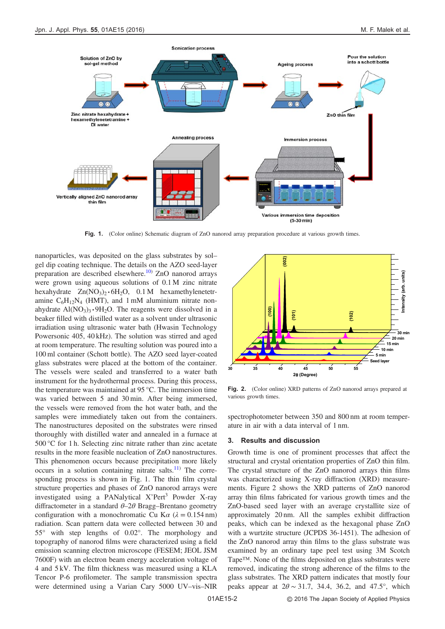

Fig. 1. (Color online) Schematic diagram of ZnO nanorod array preparation procedure at various growth times.

nanoparticles, was deposited on the glass substrates by sol– gel dip coating technique. The details on the AZO seed-layer preparation are described elsewhere.<sup>[10\)](#page-5-0)</sup> ZnO nanorod arrays were grown using aqueous solutions of 0.1 M zinc nitrate hexahydrate  $Zn(NO<sub>3</sub>)<sub>2</sub> \cdot 6H<sub>2</sub>O$ , 0.1 M hexamethylenetetramine  $C_6H_{12}N_4$  (HMT), and 1 mM aluminium nitrate nonahydrate  $Al(NO<sub>3</sub>)<sub>3</sub> \cdot 9H<sub>2</sub>O$ . The reagents were dissolved in a beaker filled with distilled water as a solvent under ultrasonic irradiation using ultrasonic water bath (Hwasin Technology Powersonic 405, 40 kHz). The solution was stirred and aged at room temperature. The resulting solution was poured into a 100 ml container (Schott bottle). The AZO seed layer-coated glass substrates were placed at the bottom of the container. The vessels were sealed and transferred to a water bath instrument for the hydrothermal process. During this process, the temperature was maintained at 95 °C. The immersion time was varied between 5 and 30 min. After being immersed, the vessels were removed from the hot water bath, and the samples were immediately taken out from the containers. The nanostructures deposited on the substrates were rinsed thoroughly with distilled water and annealed in a furnace at 500 °C for 1 h. Selecting zinc nitrate rather than zinc acetate results in the more feasible nucleation of ZnO nanostructures. This phenomenon occurs because precipitation more likely occurs in a solution containing nitrate salts. $^{11)}$  $^{11)}$  $^{11)}$  The corresponding process is shown in Fig. 1. The thin film crystal structure properties and phases of ZnO nanorod arrays were investigated using a PANalytical  $X'$ Pert<sup>3</sup> Powder X-ray diffractometer in a standard  $\theta$ –2 $\theta$  Bragg–Brentano geometry configuration with a monochromatic Cu K $\alpha$  ( $\lambda = 0.154$  nm) radiation. Scan pattern data were collected between 30 and 55° with step lengths of 0.02°. The morphology and topography of nanorod films were characterized using a field emission scanning electron microscope (FESEM; JEOL JSM 7600F) with an electron beam energy acceleration voltage of 4 and 5 kV. The film thickness was measured using a KLA Tencor P-6 profilometer. The sample transmission spectra were determined using a Varian Cary 5000 UV–vis–NIR



Fig. 2. (Color online) XRD patterns of ZnO nanorod arrays prepared at various growth times.

spectrophotometer between 350 and 800 nm at room temperature in air with a data interval of 1 nm.

#### 3. Results and discussion

Growth time is one of prominent processes that affect the structural and crystal orientation properties of ZnO thin film. The crystal structure of the ZnO nanorod arrays thin films was characterized using X-ray diffraction (XRD) measurements. Figure 2 shows the XRD patterns of ZnO nanorod array thin films fabricated for various growth times and the ZnO-based seed layer with an average crystallite size of approximately 20 nm. All the samples exhibit diffraction peaks, which can be indexed as the hexagonal phase ZnO with a wurtzite structure (JCPDS 36-1451). The adhesion of the ZnO nanorod array thin films to the glass substrate was examined by an ordinary tape peel test using 3M Scotch Tape™. None of the films deposited on glass substrates were removed, indicating the strong adherence of the films to the glass substrates. The XRD pattern indicates that mostly four peaks appear at  $2\theta \sim 31.7$ , 34.4, 36.2, and 47.5°, which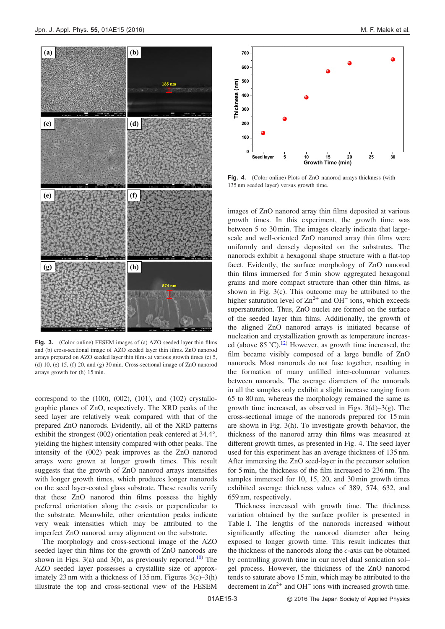

Fig. 3. (Color online) FESEM images of (a) AZO seeded layer thin films and (b) cross-sectional image of AZO seeded layer thin films. ZnO nanorod arrays prepared on AZO seeded layer thin films at various growth times (c) 5, (d) 10, (e) 15, (f) 20, and (g) 30 min. Cross-sectional image of ZnO nanorod arrays growth for (h) 15 min.

correspond to the  $(100)$ ,  $(002)$ ,  $(101)$ , and  $(102)$  crystallographic planes of ZnO, respectively. The XRD peaks of the seed layer are relatively weak compared with that of the prepared ZnO nanorods. Evidently, all of the XRD patterns exhibit the strongest (002) orientation peak centered at 34.4°, yielding the highest intensity compared with other peaks. The intensity of the (002) peak improves as the ZnO nanorod arrays were grown at longer growth times. This result suggests that the growth of ZnO nanorod arrays intensifies with longer growth times, which produces longer nanorods on the seed layer-coated glass substrate. These results verify that these ZnO nanorod thin films possess the highly preferred orientation along the c-axis or perpendicular to the substrate. Meanwhile, other orientation peaks indicate very weak intensities which may be attributed to the imperfect ZnO nanorod array alignment on the substrate.

The morphology and cross-sectional image of the AZO seeded layer thin films for the growth of ZnO nanorods are shown in Figs. 3(a) and 3(b), as previously reported.<sup>[10](#page-5-0))</sup> The AZO seeded layer possesses a crystallite size of approximately 23 nm with a thickness of 135 nm. Figures 3(c)–3(h) illustrate the top and cross-sectional view of the FESEM



Fig. 4. (Color online) Plots of ZnO nanorod arrays thickness (with 135 nm seeded layer) versus growth time.

images of ZnO nanorod array thin films deposited at various growth times. In this experiment, the growth time was between 5 to 30 min. The images clearly indicate that largescale and well-oriented ZnO nanorod array thin films were uniformly and densely deposited on the substrates. The nanorods exhibit a hexagonal shape structure with a flat-top facet. Evidently, the surface morphology of ZnO nanorod thin films immersed for 5 min show aggregated hexagonal grains and more compact structure than other thin films, as shown in Fig. 3(c). This outcome may be attributed to the higher saturation level of  $\text{Zn}^{2+}$  and OH<sup>-</sup> ions, which exceeds supersaturation. Thus, ZnO nuclei are formed on the surface of the seeded layer thin films. Additionally, the growth of the aligned ZnO nanorod arrays is initiated because of nucleation and crystallization growth as temperature increased (above  $85^{\circ}$ C).<sup>[12](#page-5-0))</sup> However, as growth time increased, the film became visibly composed of a large bundle of ZnO nanorods. Most nanorods do not fuse together, resulting in the formation of many unfilled inter-columnar volumes between nanorods. The average diameters of the nanorods in all the samples only exhibit a slight increase ranging from 65 to 80 nm, whereas the morphology remained the same as growth time increased, as observed in Figs.  $3(d)-3(g)$ . The cross-sectional image of the nanorods prepared for 15 min are shown in Fig. 3(h). To investigate growth behavior, the thickness of the nanorod array thin films was measured at different growth times, as presented in Fig. 4. The seed layer used for this experiment has an average thickness of 135 nm. After immersing the ZnO seed-layer in the precursor solution for 5 min, the thickness of the film increased to 236 nm. The samples immersed for 10, 15, 20, and 30 min growth times exhibited average thickness values of 389, 574, 632, and 659 nm, respectively.

Thickness increased with growth time. The thickness variation obtained by the surface profiler is presented in Table I. The lengths of the nanorods increased without significantly affecting the nanorod diameter after being exposed to longer growth time. This result indicates that the thickness of the nanorods along the  $c$ -axis can be obtained by controlling growth time in our novel dual sonication sol– gel process. However, the thickness of the ZnO nanorod tends to saturate above 15 min, which may be attributed to the decrement in  $\text{Zn}^{2+}$  and OH<sup>-</sup> ions with increased growth time.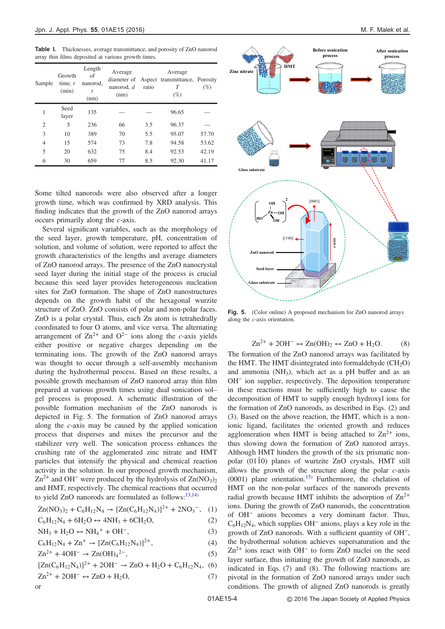Table I. Thicknesses, average transmittance, and porosity of ZnO nanorod array thin films deposited at various growth times.

| Sample         | Growth<br>time, $t$<br>(min) | Length<br>of<br>nanorod,<br>t<br>(nm) | Average<br>diameter of<br>nanorod, d<br>(nm) | ratio | Average<br>Aspect transmittance, Porosity<br>Т<br>$(\%)$ | (%)   |
|----------------|------------------------------|---------------------------------------|----------------------------------------------|-------|----------------------------------------------------------|-------|
| 1              | Seed<br>layer                | 135                                   |                                              |       | 96.65                                                    |       |
| $\overline{2}$ | 5                            | 236                                   | 66                                           | 3.5   | 96.37                                                    |       |
| 3              | 10                           | 389                                   | 70                                           | 5.5   | 95.07                                                    | 57.70 |
| $\overline{4}$ | 15                           | 574                                   | 73                                           | 7.8   | 94.58                                                    | 53.62 |
| 5              | 20                           | 632                                   | 75                                           | 8.4   | 92.53                                                    | 42.19 |
| 6              | 30                           | 659                                   | 77                                           | 8.5   | 92.30                                                    | 41.17 |

Some tilted nanorods were also observed after a longer growth time, which was confirmed by XRD analysis. This finding indicates that the growth of the ZnO nanorod arrays occurs primarily along the c-axis.

Several significant variables, such as the morphology of the seed layer, growth temperature, pH, concentration of solution, and volume of solution, were reported to affect the growth characteristics of the lengths and average diameters of ZnO nanorod arrays. The presence of the ZnO nanocrystal seed layer during the initial stage of the process is crucial because this seed layer provides heterogeneous nucleation sites for ZnO formation. The shape of ZnO nanostructures depends on the growth habit of the hexagonal wurzite structure of ZnO. ZnO consists of polar and non-polar faces. ZnO is a polar crystal. Thus, each Zn atom is tetrahedrally coordinated to four O atoms, and vice versa. The alternating arrangement of  $\text{Zn}^{2+}$  and  $\text{O}^{2-}$  ions along the c-axis yields either positive or negative charges depending on the terminating ions. The growth of the ZnO nanorod arrays was thought to occur through a self-assembly mechanism during the hydrothermal process. Based on these results, a possible growth mechanism of ZnO nanorod array thin film prepared at various growth times using dual sonication sol– gel process is proposed. A schematic illustration of the possible formation mechanism of the ZnO nanorods is depicted in Fig. 5. The formation of ZnO nanorod arrays along the c-axis may be caused by the applied sonication process that disperses and mixes the precursor and the stabilizer very well. The sonication process enhances the crushing rate of the agglomerated zinc nitrate and HMT particles that intensify the physical and chemical reaction activity in the solution. In our proposed growth mechanism,  $\text{Zn}^{2+}$  and OH<sup>-</sup> were produced by the hydrolysis of  $\text{Zn}(\text{NO}_3)_{2}$ and HMT, respectively. The chemical reactions that occurred to yield ZnO nanorods are formulated as follows: $13,14$ )

$$
Zn(NO_3)_2 + C_6H_{12}N_4 \rightarrow [Zn(C_6H_{12}N_4)]^{2+} + 2NO_3^-,\quad (1)
$$

$$
C_6H_{12}N_4 + 6H_2O \leftrightarrow 4NH_3 + 6CH_2O,
$$
 (2)

$$
NH_3 + H_2O \leftrightarrow NH_4^+ + OH^-, \tag{3}
$$

$$
C_6H_{12}N_4 + Zn^+ \to [Zn(C_6H_{12}N_4)]^{2+},\tag{4}
$$

$$
Zn^{2+} + 4OH^{-} \to Zn(OH)_{4}^{2-},
$$
 (5)

$$
[Zn(C_6H_{12}N_4)]^{2+} + 2OH^- \rightarrow ZnO + H_2O + C_6H_{12}N_4, (6)
$$

$$
Zn^{2+} + 2OH^- \leftrightarrow ZnO + H_2O,
$$
 (7)



Fig. 5. (Color online) A proposed mechanism for ZnO nanorod arrays along the c-axis orientation.

**Glass substrate**

**Seed layer**

**ZnO nanorod**

$$
Zn^{2+} + 2OH^- \leftrightarrow Zn(OH)_2 \leftrightarrow ZnO + H_2O. \tag{8}
$$

The formation of the ZnO nanorod arrays was facilitated by the HMT. The HMT disintegrated into formaldehyde  $(CH_2O)$ and ammonia (NH3), which act as a pH buffer and as an OH<sup>−</sup> ion supplier, respectively. The deposition temperature in these reactions must be sufficiently high to cause the decomposition of HMT to supply enough hydroxyl ions for the formation of ZnO nanorods, as described in Eqs. (2) and (3). Based on the above reaction, the HMT, which is a nonionic ligand, facilitates the oriented growth and reduces agglomeration when HMT is being attached to  $\text{Zn}^{2+}$  ions, thus slowing down the formation of ZnO nanorod arrays. Although HMT hinders the growth of the six prismatic nonpolar (0110) planes of wurtzite ZnO crystals, HMT still allows the growth of the structure along the polar  $c$ -axis  $(0001)$  plane orientation.<sup>[15\)](#page-5-0)</sup> Furthermore, the chelation of HMT on the non-polar surfaces of the nanorods prevents radial growth because HMT inhibits the adsorption of  $\text{Zn}^{2+}$ ions. During the growth of ZnO nanorods, the concentration of OH<sup>−</sup> anions becomes a very dominant factor. Thus, C6H12N4, which supplies OH<sup>−</sup> anions, plays a key role in the growth of ZnO nanorods. With a sufficient quantity of OH<sup>−</sup>, the hydrothermal solution achieves supersaturation and the Zn2+ ions react with OH<sup>−</sup> to form ZnO nuclei on the seed layer surface, thus initiating the growth of ZnO nanorods, as indicated in Eqs. (7) and (8). The following reactions are pivotal in the formation of ZnO nanorod arrays under such conditions. The growth of aligned ZnO nanorods is greatly

or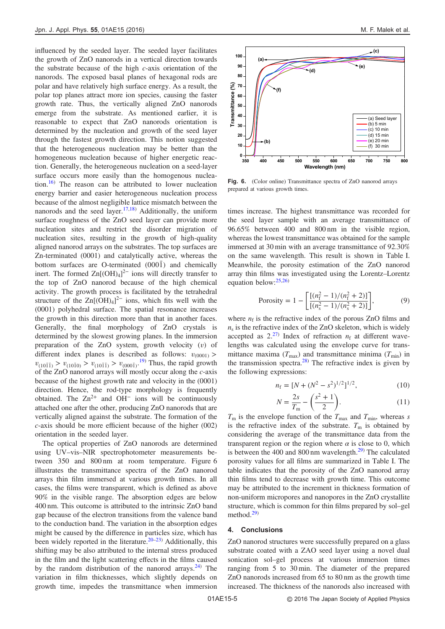influenced by the seeded layer. The seeded layer facilitates the growth of ZnO nanorods in a vertical direction towards the substrate because of the high c-axis orientation of the nanorods. The exposed basal planes of hexagonal rods are polar and have relatively high surface energy. As a result, the polar top planes attract more ion species, causing the faster growth rate. Thus, the vertically aligned ZnO nanorods emerge from the substrate. As mentioned earlier, it is reasonable to expect that ZnO nanorods orientation is determined by the nucleation and growth of the seed layer through the fastest growth direction. This notion suggested that the heterogeneous nucleation may be better than the homogeneous nucleation because of higher energetic reaction. Generally, the heterogeneous nucleation on a seed-layer surface occurs more easily than the homogenous nuclea-tion.<sup>[16\)](#page-5-0)</sup> The reason can be attributed to lower nucleation energy barrier and easier heterogeneous nucleation process because of the almost negligible lattice mismatch between the nanorods and the seed layer.<sup>[17,18](#page-5-0))</sup> Additionally, the uniform surface roughness of the ZnO seed layer can provide more nucleation sites and restrict the disorder migration of nucleation sites, resulting in the growth of high-quality aligned nanorod arrays on the substrates. The top surfaces are Zn-terminated (0001) and catalytically active, whereas the bottom surfaces are O-terminated  $(000\bar{1})$  and chemically inert. The formed  $Zn[(OH)_4]^2$ <sup>-</sup> ions will directly transfer to the top of ZnO nanorod because of the high chemical activity. The growth process is facilitated by the tetrahedral structure of the  $Zn[(OH)_4]^2$ <sup>-</sup> ions, which fits well with the (0001) polyhedral surface. The spatial resonance increases the growth in this direction more than that in another faces. Generally, the final morphology of ZnO crystals is determined by the slowest growing planes. In the immersion preparation of the ZnO system, growth velocity  $(v)$  of different index planes is described as follows:  $v_{(0001)}$  >  $v_{(10\bar{1}I)} > v_{(10\bar{1}0)} > v_{(10\bar{1}I)} > v_{(000\bar{1})}$ . Thus, the rapid growth of the ZnO nanorod arrays will mostly occur along the c-axis because of the highest growth rate and velocity in the (0001) direction. Hence, the rod-type morphology is frequently obtained. The  $Zn^{2+}$  and OH<sup>-</sup> ions will be continuously attached one after the other, producing ZnO nanorods that are vertically aligned against the substrate. The formation of the c-axis should be more efficient because of the higher (002) orientation in the seeded layer.

The optical properties of ZnO nanorods are determined using UV–vis–NIR spectrophotometer measurements between 350 and 800 nm at room temperature. Figure 6 illustrates the transmittance spectra of the ZnO nanorod arrays thin film immersed at various growth times. In all cases, the films were transparent, which is defined as above 90% in the visible range. The absorption edges are below 400 nm. This outcome is attributed to the intrinsic ZnO band gap because of the electron transitions from the valence band to the conduction band. The variation in the absorption edges might be caused by the difference in particles size, which has been widely reported in the literature.<sup>[20](#page-5-0)–[23\)](#page-5-0)</sup> Additionally, this shifting may be also attributed to the internal stress produced in the film and the light scattering effects in the films caused by the random distribution of the nanorod arrays.<sup>[24\)](#page-5-0)</sup> The variation in film thicknesses, which slightly depends on growth time, impedes the transmittance when immersion



Fig. 6. (Color online) Transmittance spectra of ZnO nanorod arrays prepared at various growth times.

times increase. The highest transmittance was recorded for the seed layer sample with an average transmittance of 96.65% between 400 and 800 nm in the visible region, whereas the lowest transmittance was obtained for the sample immersed at 30 min with an average transmittance of 92.30% on the same wavelength. This result is shown in Table I. Meanwhile, the porosity estimation of the ZnO nanorod array thin films was investigated using the Lorentz–Lorentz equation below:[25](#page-5-0),[26\)](#page-5-0)

$$
\text{Porosity} = 1 - \left[ \frac{\left[ (n_{\text{f}}^2 - 1)/(n_{\text{f}}^2 + 2) \right]}{\left[ (n_{\text{s}}^2 - 1)/(n_{\text{s}}^2 + 2) \right]} \right],\tag{9}
$$

where  $n_f$  is the refractive index of the porous ZnO films and  $n<sub>s</sub>$  is the refractive index of the ZnO skeleton, which is widely accepted as  $2.2^{7}$  Index of refraction  $n_f$  at different wavelengths was calculated using the envelope curve for transmittance maxima ( $T_{\text{max}}$ ) and transmittance minima ( $T_{\text{min}}$ ) in the transmission spectra.<sup>[28](#page-5-0))</sup> The refractive index is given by the following expressions:

$$
n_{\rm f} = [N + (N^2 - s^2)^{1/2}]^{1/2},\tag{10}
$$

$$
N = \frac{2s}{T_m} - \left(\frac{s^2 + 1}{2}\right).
$$
 (11)

 $T<sub>m</sub>$  is the envelope function of the  $T<sub>max</sub>$  and  $T<sub>min</sub>$ , whereas s is the refractive index of the substrate.  $T<sub>m</sub>$  is obtained by considering the average of the transmittance data from the transparent region or the region where  $\alpha$  is close to 0, which is between the 400 and 800 nm wavelength. $^{29}$  The calculated porosity values for all films are summarized in Table I. The table indicates that the porosity of the ZnO nanorod array thin films tend to decrease with growth time. This outcome may be attributed to the increment in thickness formation of non-uniform micropores and nanopores in the ZnO crystallite structure, which is common for thin films prepared by sol–gel method.[29](#page-5-0))

## 4. Conclusions

ZnO nanorod structures were successfully prepared on a glass substrate coated with a ZAO seed layer using a novel dual sonication sol–gel process at various immersion times ranging from 5 to 30 min. The diameter of the prepared ZnO nanorods increased from 65 to 80 nm as the growth time increased. The thickness of the nanorods also increased with